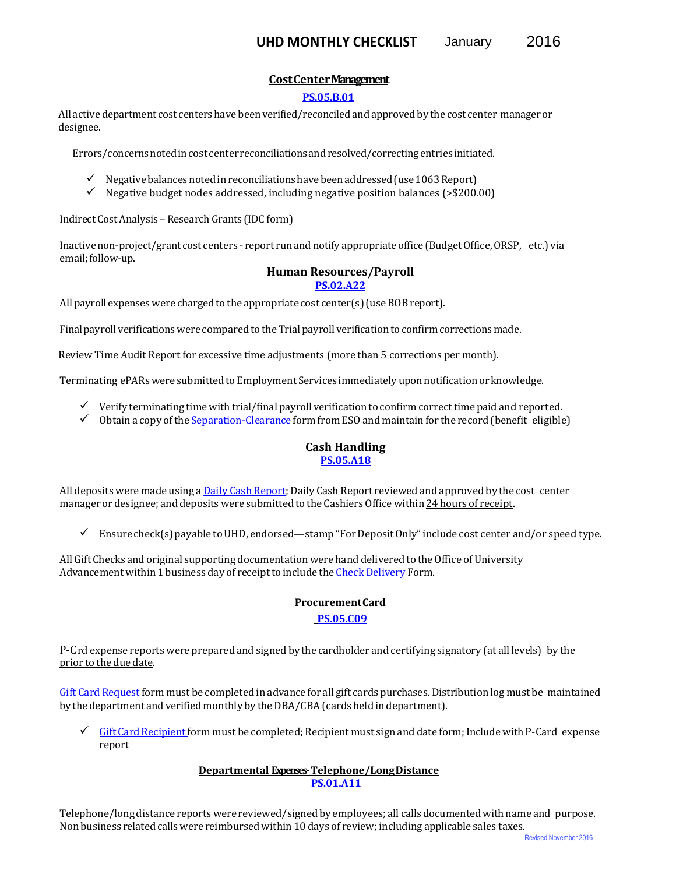# **Cost Center Management**

#### **[PS.05.B.01](https://www.uhd.edu/administration/employment-services-operations/resources/Documents/PS05B01.pdf)**

All active department cost centers have been verified/reconciled and approved by the cost center manager or designee.

Errors/concerns noted in cost center reconciliations and resolved/correcting entries initiated.

- $\checkmark$  Negative balances noted in reconciliations have been addressed (use 1063 Report)
- $\checkmark$  Negative budget nodes addressed, including negative position balances (>\$200.00)

Indirect Cost Analysis – Research Grants (IDC form)

Inactive non-project/grant cost centers - report run and notify appropriate office (Budget Office, ORSP, etc.) via email; follow-up.

#### **Human Resources/Payroll [PS.02.A22](https://www.uhd.edu/administration/employment-services-operations/resources/Documents/PS02A22.pdf)**

All payroll expenses were charged to the appropriate cost center(s) (use BOB report).

Final payroll verifications were compared to the Trial payroll verification to confirm corrections made.

Review Time Audit Report for excessive time adjustments (more than 5 corrections per month).

Terminating ePARs were submitted to Employment Services immediately upon notification or knowledge.

- $\checkmark$  Verify terminating time with trial/final payroll verification to confirm correct time paid and reported.
- Obtain a copy of th[e Separation-Clearance f](https://www.uhd.edu/administration/employment-services-operations/resources/Documents/Separation%20Clearance%20Form.pdf)orm from ESO and maintain for the record (benefit eligible)

# **Cash Handling [PS.05.A18](https://www.uhd.edu/administration/employment-services-operations/resources/Documents/PS05A18.pdf)**

All deposits were made using [a Daily Cash Report; D](https://www.uhd.edu/administration/business-affairs/Documents/department_deposit.pdf)aily Cash Report reviewed and approved by the cost center manager or designee; and deposits were submitted to the Cashiers Office within 24 hours of receipt.

 $\checkmark$  Ensure check(s) payable to UHD, endorsed—stamp "For Deposit Only" include cost center and/or speed type.

All Gift Checks and original supporting documentation were hand delivered to the Office of University Advancement within 1 business day of receipt to include th[e Check Delivery F](https://www.uhd.edu/faculty-staff/administrative-reference-manual/Documents/UHDAdvancementCheckDeliveryForm.pdf)orm.

#### **Procurement Card**

### **[PS.05.C09](https://www.uhd.edu/administration/employment-services-operations/resources/Documents/PS05C09.pdf)**

P-Crd expense reports were prepared and signed by the cardholder and certifying signatory (at all levels) by the prior to the due date.

[Gift Card Request f](https://www.uhd.edu/administration/budget-procurement/Documents/GiftCardRequest_000.pdf)orm must be completed in advance for all gift cards purchases. Distribution log must be maintained by the department and verified monthly by the DBA/CBA (cards held in department).

 [Gift Card Recipient f](https://www.uhd.edu/administration/budget-procurement/Documents/GiftCardRecipientForm.pdf)orm must be completed; Recipient must sign and date form; Include with P-Card expense report

### **Departmental Expenses- Telephone/Long Distance [PS.01.A11](https://www.uhd.edu/administration/employment-services-operations/resources/Documents/PS01A11.pdf)**

Telephone/long distance reports were reviewed/signed by employees; all calls documented with name and purpose. Non business related calls were reimbursed within 10 days of review; including applicable sales taxes.